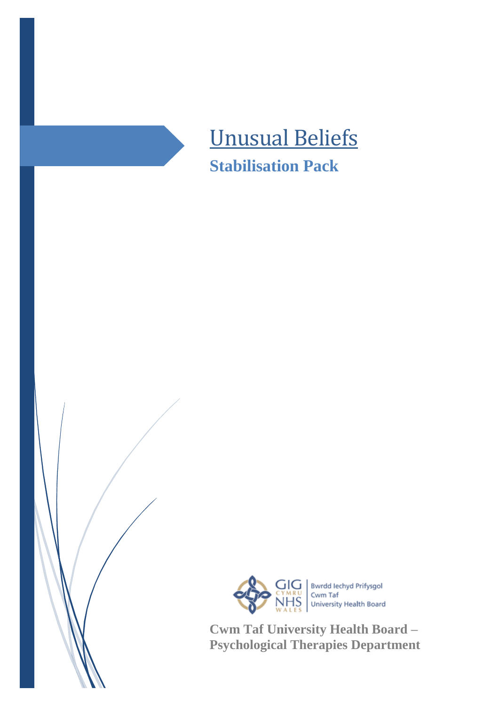



**Cwm Taf University Health Board – Psychological Therapies Department**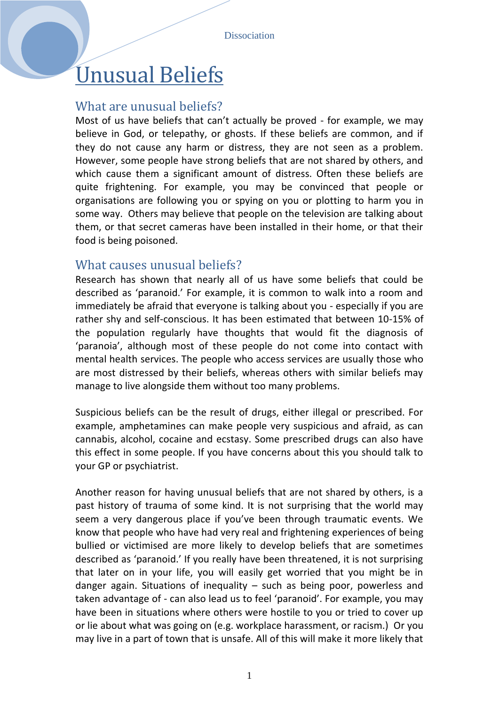# Unusual Beliefs

## What are unusual beliefs?

Most of us have beliefs that can't actually be proved - for example, we may believe in God, or telepathy, or ghosts. If these beliefs are common, and if they do not cause any harm or distress, they are not seen as a problem. However, some people have strong beliefs that are not shared by others, and which cause them a significant amount of distress. Often these beliefs are quite frightening. For example, you may be convinced that people or organisations are following you or spying on you or plotting to harm you in some way. Others may believe that people on the television are talking about them, or that secret cameras have been installed in their home, or that their food is being poisoned.

### What causes unusual beliefs?

Research has shown that nearly all of us have some beliefs that could be described as 'paranoid.' For example, it is common to walk into a room and immediately be afraid that everyone is talking about you - especially if you are rather shy and self-conscious. It has been estimated that between 10-15% of the population regularly have thoughts that would fit the diagnosis of 'paranoia', although most of these people do not come into contact with mental health services. The people who access services are usually those who are most distressed by their beliefs, whereas others with similar beliefs may manage to live alongside them without too many problems.

Suspicious beliefs can be the result of drugs, either illegal or prescribed. For example, amphetamines can make people very suspicious and afraid, as can cannabis, alcohol, cocaine and ecstasy. Some prescribed drugs can also have this effect in some people. If you have concerns about this you should talk to your GP or psychiatrist.

Another reason for having unusual beliefs that are not shared by others, is a past history of trauma of some kind. It is not surprising that the world may seem a very dangerous place if you've been through traumatic events. We know that people who have had very real and frightening experiences of being bullied or victimised are more likely to develop beliefs that are sometimes described as 'paranoid.' If you really have been threatened, it is not surprising that later on in your life, you will easily get worried that you might be in danger again. Situations of inequality – such as being poor, powerless and taken advantage of - can also lead us to feel 'paranoid'. For example, you may have been in situations where others were hostile to you or tried to cover up or lie about what was going on (e.g. workplace harassment, or racism.) Or you may live in a part of town that is unsafe. All of this will make it more likely that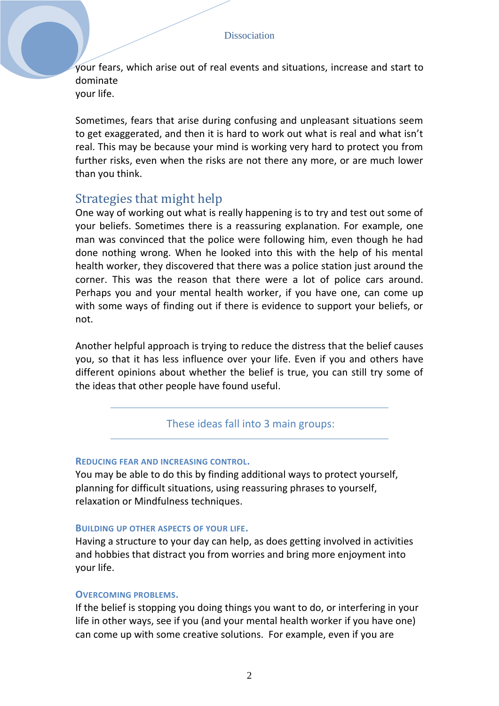your fears, which arise out of real events and situations, increase and start to dominate your life.

Sometimes, fears that arise during confusing and unpleasant situations seem to get exaggerated, and then it is hard to work out what is real and what isn't real. This may be because your mind is working very hard to protect you from further risks, even when the risks are not there any more, or are much lower than you think.

## Strategies that might help

One way of working out what is really happening is to try and test out some of your beliefs. Sometimes there is a reassuring explanation. For example, one man was convinced that the police were following him, even though he had done nothing wrong. When he looked into this with the help of his mental health worker, they discovered that there was a police station just around the corner. This was the reason that there were a lot of police cars around. Perhaps you and your mental health worker, if you have one, can come up with some ways of finding out if there is evidence to support your beliefs, or not.

Another helpful approach is trying to reduce the distress that the belief causes you, so that it has less influence over your life. Even if you and others have different opinions about whether the belief is true, you can still try some of the ideas that other people have found useful.

These ideas fall into 3 main groups:

#### **REDUCING FEAR AND INCREASING CONTROL.**

You may be able to do this by finding additional ways to protect yourself, planning for difficult situations, using reassuring phrases to yourself, relaxation or Mindfulness techniques.

#### **BUILDING UP OTHER ASPECTS OF YOUR LIFE.**

Having a structure to your day can help, as does getting involved in activities and hobbies that distract you from worries and bring more enjoyment into your life.

#### **OVERCOMING PROBLEMS.**

If the belief is stopping you doing things you want to do, or interfering in your life in other ways, see if you (and your mental health worker if you have one) can come up with some creative solutions. For example, even if you are